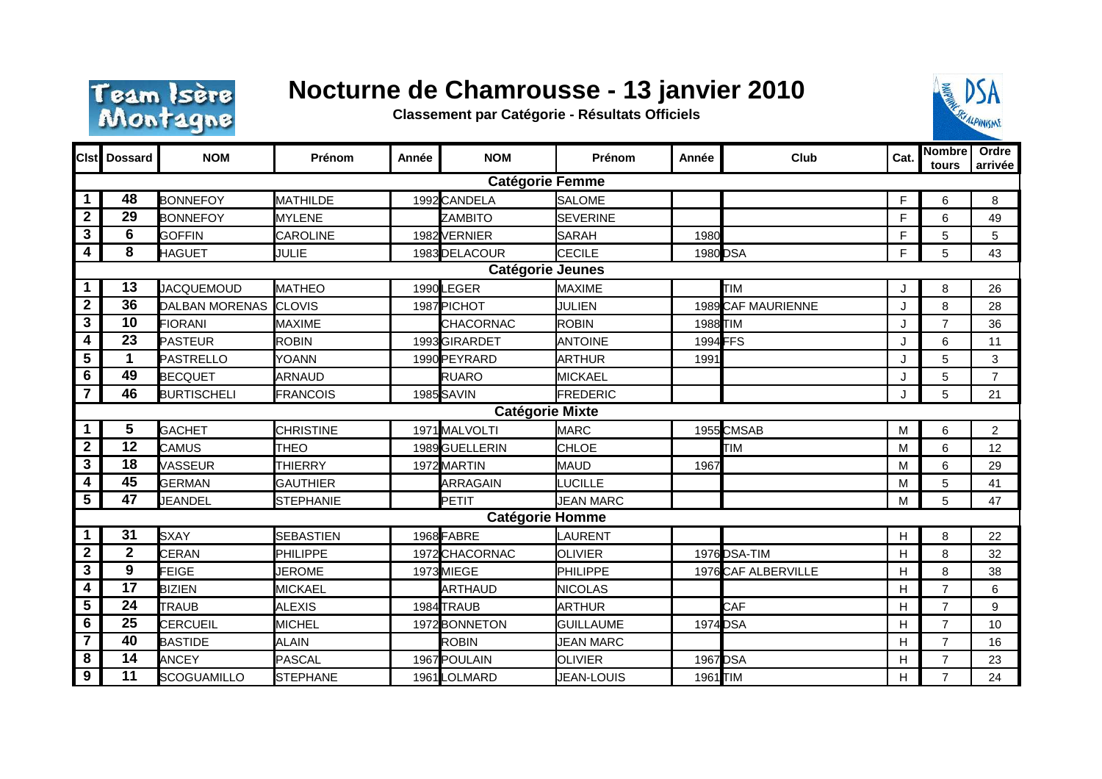

## **Nocturne de Chamrousse - 13 janvier 2010**

**Classement par Catégorie - Résultats Officiels**



|                         | <b>Cist</b> Dossard | <b>NOM</b>            | Prénom           | Année | <b>NOM</b>             | Prénom           | Année    | Club                | Cat.           | Nombre<br>tours | Ordre<br>arrivée |
|-------------------------|---------------------|-----------------------|------------------|-------|------------------------|------------------|----------|---------------------|----------------|-----------------|------------------|
| <b>Catégorie Femme</b>  |                     |                       |                  |       |                        |                  |          |                     |                |                 |                  |
| $\mathbf 1$             | 48                  | <b>BONNEFOY</b>       | MATHILDE         |       | 1992 CANDELA           | <b>SALOME</b>    |          |                     | F              | 6               | 8                |
| $\mathbf 2$             | 29                  | <b>BONNEFOY</b>       | <b>MYLENE</b>    |       | <b>ZAMBITO</b>         | <b>SEVERINE</b>  |          |                     | F              | 6               | 49               |
| $\overline{\mathbf{3}}$ | $6\phantom{1}$      | <b>GOFFIN</b>         | <b>CAROLINE</b>  |       | 1982 VERNIER           | <b>SARAH</b>     | 1980     |                     | F              | 5               | 5                |
| 4                       | 8                   | <b>HAGUET</b>         | <b>JULIE</b>     |       | 1983 DELACOUR          | <b>CECILE</b>    | 1980 DSA |                     | F              | 5               | 43               |
| Catégorie Jeunes        |                     |                       |                  |       |                        |                  |          |                     |                |                 |                  |
| 1                       | 13                  | JACQUEMOUD            | MATHEO           |       | 1990LEGER              | MAXIME           |          | TIM                 | J              | 8               | 26               |
| $\overline{\mathbf{2}}$ | 36                  | <b>DALBAN MORENAS</b> | <b>CLOVIS</b>    |       | 1987 PICHOT            | JULIEN           |          | 1989 CAF MAURIENNE  | J.             | 8               | 28               |
| 3                       | 10                  | <b>FIORANI</b>        | <b>MAXIME</b>    |       | CHACORNAC              | <b>ROBIN</b>     | 1988 TIM |                     | J              | $\overline{7}$  | 36               |
| 4                       | 23                  | <b>PASTEUR</b>        | <b>ROBIN</b>     |       | 1993 GIRARDET          | <b>ANTOINE</b>   | 1994 FFS |                     | J              | 6               | 11               |
| 5                       | 1                   | <b>PASTRELLO</b>      | YOANN            |       | 1990 PEYRARD           | ARTHUR           | 1991     |                     | J              | 5               | 3                |
| 6                       | 49                  | <b>BECQUET</b>        | ARNAUD           |       | RUARO                  | <b>MICKAEL</b>   |          |                     | J              | 5               | $\overline{7}$   |
| $\overline{7}$          | 46                  | <b>BURTISCHELI</b>    | FRANCOIS         |       | 1985 SAVIN             | FREDERIC         |          |                     | $\mathbf{I}$ . | 5               | 21               |
| <b>Catégorie Mixte</b>  |                     |                       |                  |       |                        |                  |          |                     |                |                 |                  |
|                         | 5                   | <b>GACHET</b>         | <b>CHRISTINE</b> |       | 1971 MALVOLTI          | <b>MARC</b>      |          | 1955 CMSAB          | M              | 6               | $\overline{2}$   |
| $\overline{2}$          | 12                  | <b>CAMUS</b>          | <b>THEO</b>      |       | 1989 GUELLERIN         | <b>CHLOE</b>     |          | <b>TIM</b>          | M              | 6               | 12               |
| $\overline{\mathbf{3}}$ | 18                  | VASSEUR               | <b>THIERRY</b>   |       | 1972 MARTIN            | MAUD             | 1967     |                     | M              | 6               | 29               |
| 4                       | 45                  | <b>GERMAN</b>         | <b>GAUTHIER</b>  |       | <b>ARRAGAIN</b>        | <b>LUCILLE</b>   |          |                     | M              | 5               | 41               |
| 5                       | 47                  | JEANDEL               | <b>STEPHANIE</b> |       | PETIT                  | <b>JEAN MARC</b> |          |                     | M              | 5               | 47               |
|                         |                     |                       |                  |       | <b>Catégorie Homme</b> |                  |          |                     |                |                 |                  |
| 1                       | 31                  | <b>SXAY</b>           | <b>SEBASTIEN</b> |       | 1968 FABRE             | LAURENT          |          |                     | H              | 8               | 22               |
| $\overline{2}$          | $\mathbf{2}$        | CERAN                 | PHILIPPE         |       | 1972 CHACORNAC         | <b>OLIVIER</b>   |          | 1976 DSA-TIM        | H              | 8               | 32               |
| $\overline{\mathbf{3}}$ | 9                   | <b>FEIGE</b>          | <b>JEROME</b>    |       | 1973 MIEGE             | PHILIPPE         |          | 1976 CAF ALBERVILLE | $\mathsf{H}$   | 8               | 38               |
| 4                       | 17                  | <b>BIZIEN</b>         | <b>MICKAEL</b>   |       | <b>ARTHAUD</b>         | <b>NICOLAS</b>   |          |                     | H              | $\overline{7}$  | 6                |
| 5                       | 24                  | TRAUB                 | <b>ALEXIS</b>    |       | 1984 TRAUB             | ARTHUR           |          | <b>CAF</b>          | H              | $\overline{7}$  | 9                |
| 6                       | 25                  | <b>CERCUEIL</b>       | <b>MICHEL</b>    |       | 1972 BONNETON          | <b>GUILLAUME</b> | 1974 DSA |                     | $\mathsf{H}$   | $\overline{7}$  | 10               |
| $\overline{7}$          | 40                  | <b>BASTIDE</b>        | <b>ALAIN</b>     |       | <b>ROBIN</b>           | <b>JEAN MARC</b> |          |                     | H              | $\overline{7}$  | 16               |
| 8                       | 14                  | <b>ANCEY</b>          | PASCAL           |       | 1967 POULAIN           | <b>OLIVIER</b>   | 1967 DSA |                     | H              | $\overline{7}$  | 23               |
| $\overline{9}$          | $\overline{11}$     | <b>SCOGUAMILLO</b>    | <b>STEPHANE</b>  |       | 1961 LOLMARD           | JEAN-LOUIS       | 1961 TIM |                     | H              | $\overline{7}$  | 24               |